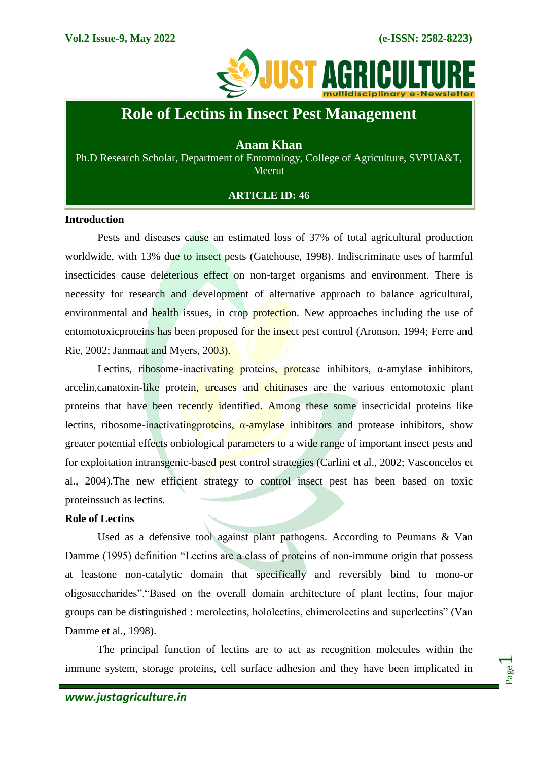

# **Role of Lectins in Insect Pest Management**

## **Anam Khan**

Ph.D Research Scholar, Department of Entomology, College of Agriculture, SVPUA&T, Meerut

## **ARTICLE ID: 46**

#### **Introduction**

Pests and diseases cause an estimated loss of 37% of total agricultural production worldwide, with 13% due to insect pests (Gatehouse, 1998). Indiscriminate uses of harmful insecticides cause deleterious effect on non-target organisms and environment. There is necessity for research and development of alternative approach to balance agricultural, environmental and health issues, in crop protection. New approaches including the use of entomotoxicproteins has been proposed for the insect pest control (Aronson, 1994; Ferre and Rie, 2002; Janmaat and Myers, 2003).

Lectins, ribosome-inactivating proteins, protease inhibitors,  $\alpha$ -amylase inhibitors, arcelin, canatoxin-like protein, ureases and chitinases are the various entomotoxic plant proteins that have been recently identified. Among these some insecticidal proteins like lectins, ribosome-inactivating proteins,  $\alpha$ -amylase inhibitors and protease inhibitors, show greater potential effects onbiological parameters to a wide range of important insect pests and for exploitation intransgenic-based pest control strategies (Carlini et al., 2002; Vasconcelos et al., 2004).The new efficient strategy to control insect pest has been based on toxic proteinssuch as lectins.

#### **Role of Lectins**

Used as a defensive tool against plant pathogens. According to Peumans & Van Damme (1995) definition "Lectins are a class of proteins of non-immune origin that possess at leastone non-catalytic domain that specifically and reversibly bind to mono-or oligosaccharides"."Based on the overall domain architecture of plant lectins, four major groups can be distinguished : merolectins, hololectins, chimerolectins and superlectins" (Van Damme et al., 1998).

The principal function of lectins are to act as recognition molecules within the immune system, storage proteins, cell surface adhesion and they have been implicated in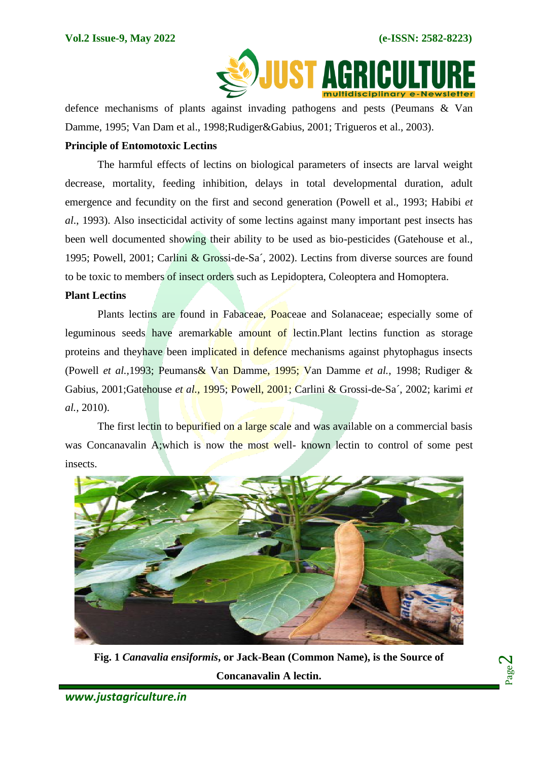

defence mechanisms of plants against invading pathogens and pests (Peumans & Van Damme, 1995; Van Dam et al., 1998;Rudiger&Gabius, 2001; Trigueros et al., 2003).

## **Principle of Entomotoxic Lectins**

The harmful effects of lectins on biological parameters of insects are larval weight decrease, mortality, feeding inhibition, delays in total developmental duration, adult emergence and fecundity on the first and second generation (Powell et al., 1993; Habibi *et al*., 1993). Also insecticidal activity of some lectins against many important pest insects has been well documented showing their ability to be used as bio-pesticides (Gatehouse et al., 1995; Powell, 2001; Carlini & Grossi-de-Sa´, 2002). Lectins from diverse sources are found to be toxic to members of insect orders such as Lepidoptera, Coleoptera and Homoptera.

### **Plant Lectins**

Plants lectins are found in Fabaceae, Poaceae and Solanaceae; especially some of leguminous seeds have aremarkable amount of lectin.Plant lectins function as storage proteins and theyhave been implicated in defence mechanisms against phytophagus insects (Powell *et al.,*1993; Peumans& Van Damme, 1995; Van Damme *et al.,* 1998; Rudiger & Gabius, 2001;Gatehouse *et al.,* 1995; Powell, 2001; Carlini & Grossi-de-Sa´, 2002; karimi *et al.,* 2010).

The first lectin to bepurified on a large scale and was available on a commercial basis was Concanavalin A;which is now the most well- known lectin to control of some pest insects.



**Fig. 1** *Canavalia ensiformis***, or Jack-Bean (Common Name), is the Source of Concanavalin A lectin.**

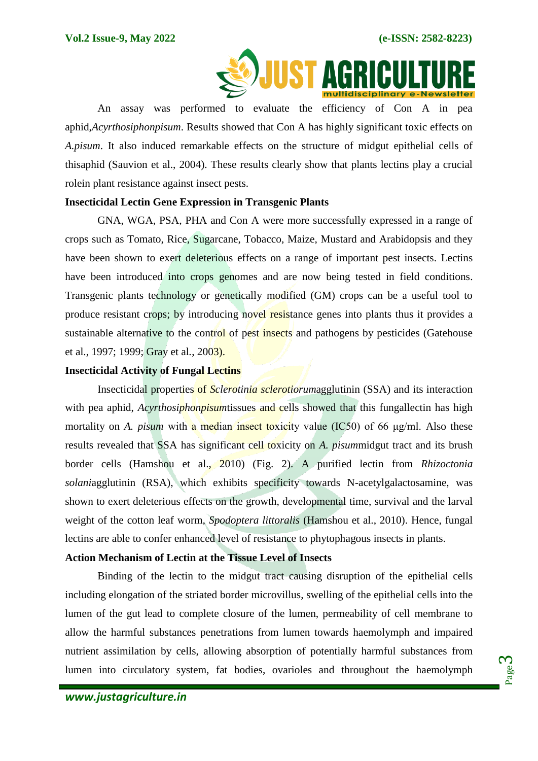

An assay was performed to evaluate the efficiency of Con A in pea aphid,*Acyrthosiphonpisum*. Results showed that Con A has highly significant toxic effects on *A.pisum*. It also induced remarkable effects on the structure of midgut epithelial cells of thisaphid (Sauvion et al., 2004). These results clearly show that plants lectins play a crucial rolein plant resistance against insect pests.

## **Insecticidal Lectin Gene Expression in Transgenic Plants**

GNA, WGA, PSA, PHA and Con A were more successfully expressed in a range of crops such as Tomato, Rice, Sugarcane, Tobacco, Maize, Mustard and Arabidopsis and they have been shown to exert deleterious effects on a range of important pest insects. Lectins have been introduced into crops genomes and are now being tested in field conditions. Transgenic plants technology or genetically modified (GM) crops can be a useful tool to produce resistant crops; by introducing novel resistance genes into plants thus it provides a sustainable alternative to the control of pest insects and pathogens by pesticides (Gatehouse et al., 1997; 1999; Gray et al*.*, 2003).

## **Insecticidal Activity of Fungal Lectins**

Insecticidal properties of *Sclerotinia sclerotiorum*agglutinin (SSA) and its interaction with pea aphid, *Acyrthosiphonpisum*tissues and cells showed that this fungallectin has high mortality on *A. pisum* with a median insect toxicity value (IC50) of 66 μg/ml. Also these results revealed that SSA has significant cell toxicity on *A. pisum*midgut tract and its brush border cells (Hamshou et al., 2010) (Fig. 2). A purified lectin from *Rhizoctonia solani*agglutinin (RSA), which exhibits specificity towards N-acetylgalactosamine, was shown to exert deleterious effects on the growth, developmental time, survival and the larval weight of the cotton leaf worm, *Spodoptera littoralis* (Hamshou et al., 2010). Hence, fungal lectins are able to confer enhanced level of resistance to phytophagous insects in plants.

## **Action Mechanism of Lectin at the Tissue Level of Insects**

Binding of the lectin to the midgut tract causing disruption of the epithelial cells including elongation of the striated border microvillus, swelling of the epithelial cells into the lumen of the gut lead to complete closure of the lumen, permeability of cell membrane to allow the harmful substances penetrations from lumen towards haemolymph and impaired nutrient assimilation by cells, allowing absorption of potentially harmful substances from lumen into circulatory system, fat bodies, ovarioles and throughout the haemolymph